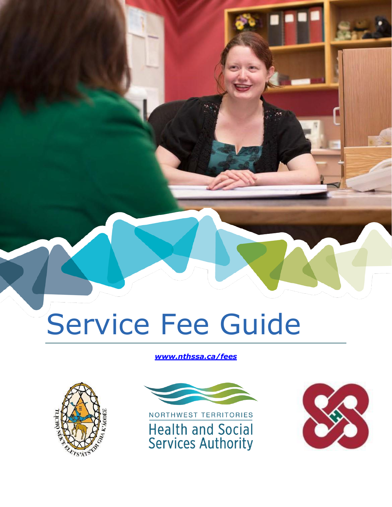# Service Fee Guide

#### *[www.nthssa.ca/fees](http://www.nthssa.ca/fees)*





NORTHWEST TERRITORIES **Health and Social Services Authority** 

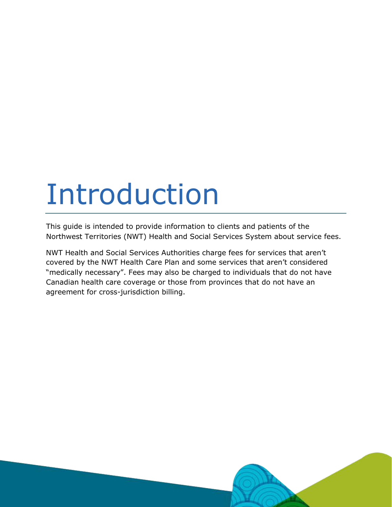# Introduction

This guide is intended to provide information to clients and patients of the Northwest Territories (NWT) Health and Social Services System about service fees.

NWT Health and Social Services Authorities charge fees for services that aren't covered by the NWT Health Care Plan and some services that aren't considered "medically necessary". Fees may also be charged to individuals that do not have Canadian health care coverage or those from provinces that do not have an agreement for cross-jurisdiction billing.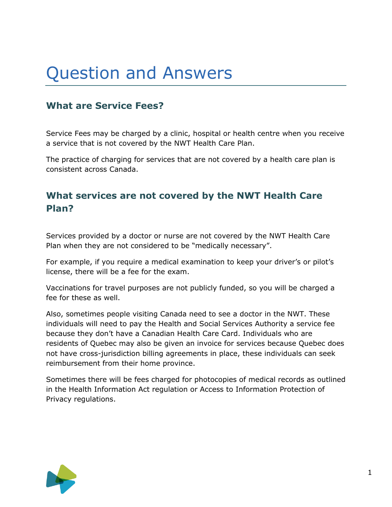# Question and Answers

# **What are Service Fees?**

Service Fees may be charged by a clinic, hospital or health centre when you receive a service that is not covered by the NWT Health Care Plan.

The practice of charging for services that are not covered by a health care plan is consistent across Canada.

## **What services are not covered by the NWT Health Care Plan?**

Services provided by a doctor or nurse are not covered by the NWT Health Care Plan when they are not considered to be "medically necessary".

For example, if you require a medical examination to keep your driver's or pilot's license, there will be a fee for the exam.

Vaccinations for travel purposes are not publicly funded, so you will be charged a fee for these as well.

Also, sometimes people visiting Canada need to see a doctor in the NWT. These individuals will need to pay the Health and Social Services Authority a service fee because they don't have a Canadian Health Care Card. Individuals who are residents of Quebec may also be given an invoice for services because Quebec does not have cross-jurisdiction billing agreements in place, these individuals can seek reimbursement from their home province.

Sometimes there will be fees charged for photocopies of medical records as outlined in the Health Information Act regulation or Access to Information Protection of Privacy regulations.

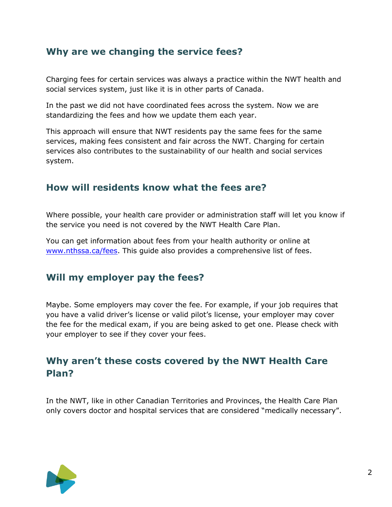### **Why are we changing the service fees?**

Charging fees for certain services was always a practice within the NWT health and social services system, just like it is in other parts of Canada.

In the past we did not have coordinated fees across the system. Now we are standardizing the fees and how we update them each year.

This approach will ensure that NWT residents pay the same fees for the same services, making fees consistent and fair across the NWT. Charging for certain services also contributes to the sustainability of our health and social services system.

#### **How will residents know what the fees are?**

Where possible, your health care provider or administration staff will let you know if the service you need is not covered by the NWT Health Care Plan.

You can get information about fees from your health authority or online at [www.nthssa.ca/fees.](http://www.nthssa.ca/fees) This guide also provides a comprehensive list of fees.

#### **Will my employer pay the fees?**

Maybe. Some employers may cover the fee. For example, if your job requires that you have a valid driver's license or valid pilot's license, your employer may cover the fee for the medical exam, if you are being asked to get one. Please check with your employer to see if they cover your fees.

# **Why aren't these costs covered by the NWT Health Care Plan?**

In the NWT, like in other Canadian Territories and Provinces, the Health Care Plan only covers doctor and hospital services that are considered "medically necessary".

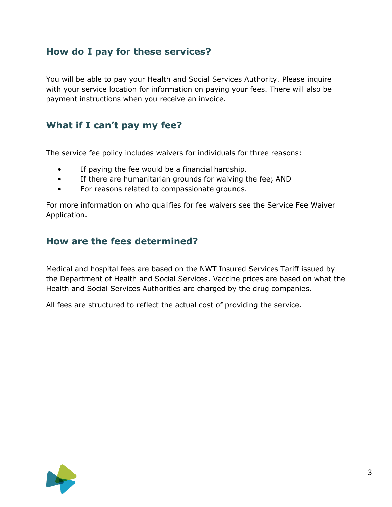### **How do I pay for these services?**

You will be able to pay your Health and Social Services Authority. Please inquire with your service location for information on paying your fees. There will also be payment instructions when you receive an invoice.

#### **What if I can't pay my fee?**

The service fee policy includes waivers for individuals for three reasons:

- If paying the fee would be a financial hardship.
- If there are humanitarian grounds for waiving the fee; AND
- For reasons related to compassionate grounds.

For more information on who qualifies for fee waivers see the Service Fee Waiver Application.

#### **How are the fees determined?**

Medical and hospital fees are based on the NWT Insured Services Tariff issued by the Department of Health and Social Services. Vaccine prices are based on what the Health and Social Services Authorities are charged by the drug companies.

All fees are structured to reflect the actual cost of providing the service.

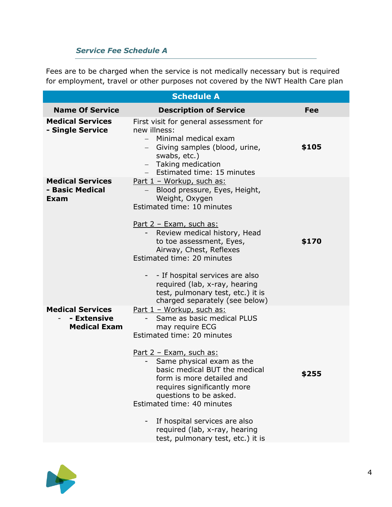#### *Service Fee Schedule A*

Fees are to be charged when the service is not medically necessary but is required for employment, travel or other purposes not covered by the NWT Health Care plan

| <b>Schedule A</b>                                             |                                                                                                                                                                                                                                                                                                                                                                                                                                            |            |
|---------------------------------------------------------------|--------------------------------------------------------------------------------------------------------------------------------------------------------------------------------------------------------------------------------------------------------------------------------------------------------------------------------------------------------------------------------------------------------------------------------------------|------------|
| <b>Name Of Service</b>                                        | <b>Description of Service</b>                                                                                                                                                                                                                                                                                                                                                                                                              | <b>Fee</b> |
| <b>Medical Services</b><br>- Single Service                   | First visit for general assessment for<br>new illness:<br>Minimal medical exam<br>$-$<br>- Giving samples (blood, urine,<br>swabs, etc.)<br>- Taking medication<br>Estimated time: 15 minutes                                                                                                                                                                                                                                              | \$105      |
| <b>Medical Services</b><br>- Basic Medical<br>Exam            | <u>Part 1 - Workup, such as:</u><br>Blood pressure, Eyes, Height,<br>Weight, Oxygen<br>Estimated time: 10 minutes<br><u>Part 2 - Exam, such as:</u><br>Review medical history, Head<br>to toe assessment, Eyes,<br>Airway, Chest, Reflexes<br>Estimated time: 20 minutes<br>- If hospital services are also                                                                                                                                | \$170      |
|                                                               | required (lab, x-ray, hearing<br>test, pulmonary test, etc.) it is<br>charged separately (see below)                                                                                                                                                                                                                                                                                                                                       |            |
| <b>Medical Services</b><br>- Extensive<br><b>Medical Exam</b> | <u>Part 1 - Workup, such as:</u><br>Same as basic medical PLUS<br>may require ECG<br>Estimated time: 20 minutes<br><u>Part 2 - Exam, such as:</u><br>Same physical exam as the<br>basic medical BUT the medical<br>form is more detailed and<br>requires significantly more<br>questions to be asked.<br>Estimated time: 40 minutes<br>If hospital services are also<br>required (lab, x-ray, hearing<br>test, pulmonary test, etc.) it is | \$255      |

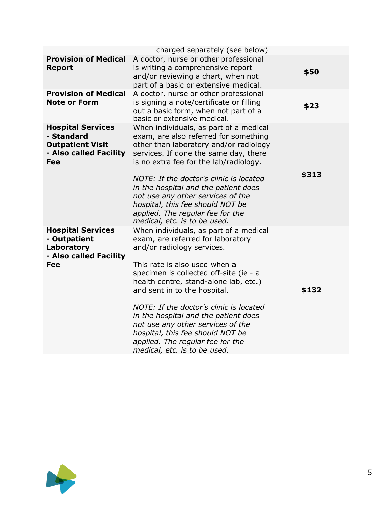|                                                                                                           | charged separately (see below)                                                                                                                                                                                                                                                                           |       |
|-----------------------------------------------------------------------------------------------------------|----------------------------------------------------------------------------------------------------------------------------------------------------------------------------------------------------------------------------------------------------------------------------------------------------------|-------|
| <b>Provision of Medical</b><br><b>Report</b>                                                              | A doctor, nurse or other professional<br>is writing a comprehensive report<br>and/or reviewing a chart, when not<br>part of a basic or extensive medical.                                                                                                                                                | \$50  |
| <b>Provision of Medical</b><br><b>Note or Form</b>                                                        | A doctor, nurse or other professional<br>is signing a note/certificate or filling<br>out a basic form, when not part of a<br>basic or extensive medical.                                                                                                                                                 | \$23  |
| <b>Hospital Services</b><br>- Standard<br><b>Outpatient Visit</b><br>- Also called Facility<br><b>Fee</b> | When individuals, as part of a medical<br>exam, are also referred for something<br>other than laboratory and/or radiology<br>services. If done the same day, there<br>is no extra fee for the lab/radiology.                                                                                             |       |
|                                                                                                           | NOTE: If the doctor's clinic is located<br>in the hospital and the patient does<br>not use any other services of the<br>hospital, this fee should NOT be<br>applied. The regular fee for the<br>medical, etc. is to be used.                                                                             | \$313 |
| <b>Hospital Services</b><br>- Outpatient<br>Laboratory<br>- Also called Facility<br><b>Fee</b>            | When individuals, as part of a medical<br>exam, are referred for laboratory<br>and/or radiology services.<br>This rate is also used when a<br>specimen is collected off-site (ie - a<br>health centre, stand-alone lab, etc.)<br>and sent in to the hospital.<br>NOTE: If the doctor's clinic is located | \$132 |
|                                                                                                           | in the hospital and the patient does<br>not use any other services of the<br>hospital, this fee should NOT be<br>applied. The regular fee for the<br>medical, etc. is to be used.                                                                                                                        |       |

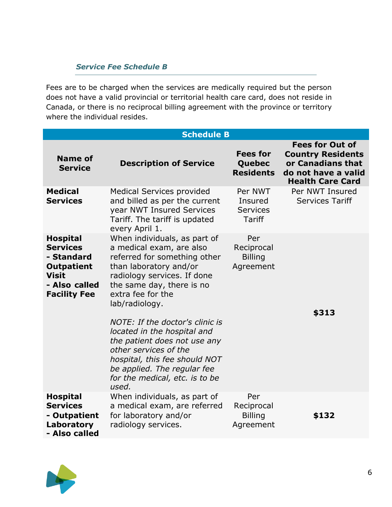#### *Service Fee Schedule B*

Fees are to be charged when the services are medically required but the person does not have a valid provincial or territorial health care card, does not reside in Canada, or there is no reciprocal billing agreement with the province or territory where the individual resides.

| <b>Schedule B</b>                                                                                                             |                                                                                                                                                                                                                                                                                                                                                  |                                                        |                                                                                                                           |
|-------------------------------------------------------------------------------------------------------------------------------|--------------------------------------------------------------------------------------------------------------------------------------------------------------------------------------------------------------------------------------------------------------------------------------------------------------------------------------------------|--------------------------------------------------------|---------------------------------------------------------------------------------------------------------------------------|
| <b>Name of</b><br><b>Service</b>                                                                                              | <b>Description of Service</b>                                                                                                                                                                                                                                                                                                                    | <b>Fees for</b><br>Quebec<br><b>Residents</b>          | <b>Fees for Out of</b><br><b>Country Residents</b><br>or Canadians that<br>do not have a valid<br><b>Health Care Card</b> |
| <b>Medical</b><br><b>Services</b>                                                                                             | <b>Medical Services provided</b><br>and billed as per the current<br>year NWT Insured Services<br>Tariff. The tariff is updated<br>every April 1.                                                                                                                                                                                                | Per NWT<br>Insured<br><b>Services</b><br><b>Tariff</b> | Per NWT Insured<br><b>Services Tariff</b>                                                                                 |
| <b>Hospital</b><br><b>Services</b><br>- Standard<br><b>Outpatient</b><br><b>Visit</b><br>- Also called<br><b>Facility Fee</b> | When individuals, as part of<br>a medical exam, are also<br>referred for something other<br>than laboratory and/or<br>radiology services. If done<br>the same day, there is no<br>extra fee for the<br>lab/radiology.<br>NOTE: If the doctor's clinic is<br>located in the hospital and<br>the patient does not use any<br>other services of the | Per<br>Reciprocal<br><b>Billing</b><br>Agreement       | \$313                                                                                                                     |
|                                                                                                                               | hospital, this fee should NOT<br>be applied. The regular fee<br>for the medical, etc. is to be<br>used.                                                                                                                                                                                                                                          |                                                        |                                                                                                                           |
| <b>Hospital</b><br><b>Services</b><br>- Outpatient<br>Laboratory<br>- Also called                                             | When individuals, as part of<br>a medical exam, are referred<br>for laboratory and/or<br>radiology services.                                                                                                                                                                                                                                     | Per<br>Reciprocal<br><b>Billing</b><br>Agreement       | \$132                                                                                                                     |

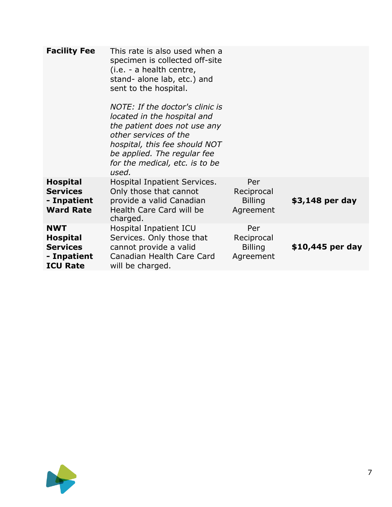| <b>Facility Fee</b>                                                                | This rate is also used when a<br>specimen is collected off-site<br>(i.e. - a health centre,<br>stand- alone lab, etc.) and<br>sent to the hospital.<br>NOTE: If the doctor's clinic is<br>located in the hospital and<br>the patient does not use any<br>other services of the<br>hospital, this fee should NOT<br>be applied. The regular fee<br>for the medical, etc. is to be<br>used. |                                                  |                  |
|------------------------------------------------------------------------------------|-------------------------------------------------------------------------------------------------------------------------------------------------------------------------------------------------------------------------------------------------------------------------------------------------------------------------------------------------------------------------------------------|--------------------------------------------------|------------------|
| <b>Hospital</b><br><b>Services</b><br>- Inpatient<br><b>Ward Rate</b>              | Hospital Inpatient Services.<br>Only those that cannot<br>provide a valid Canadian<br>Health Care Card will be<br>charged.                                                                                                                                                                                                                                                                | Per<br>Reciprocal<br><b>Billing</b><br>Agreement | \$3,148 per day  |
| <b>NWT</b><br><b>Hospital</b><br><b>Services</b><br>- Inpatient<br><b>ICU Rate</b> | Hospital Inpatient ICU<br>Services. Only those that<br>cannot provide a valid<br>Canadian Health Care Card<br>will be charged.                                                                                                                                                                                                                                                            | Per<br>Reciprocal<br><b>Billing</b><br>Agreement | \$10,445 per day |

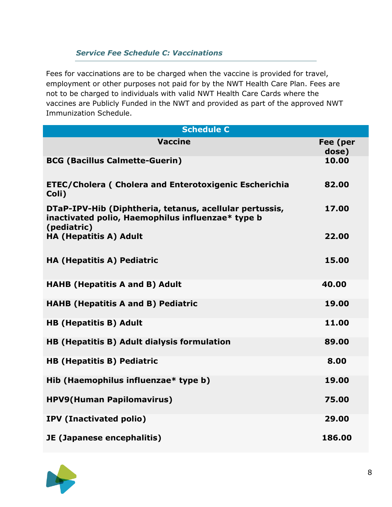#### *Service Fee Schedule C: Vaccinations*

Fees for vaccinations are to be charged when the vaccine is provided for travel, employment or other purposes not paid for by the NWT Health Care Plan. Fees are not to be charged to individuals with valid NWT Health Care Cards where the vaccines are Publicly Funded in the NWT and provided as part of the approved NWT Immunization Schedule.

| <b>Schedule C</b>                                                                                                           |                   |  |
|-----------------------------------------------------------------------------------------------------------------------------|-------------------|--|
| <b>Vaccine</b>                                                                                                              | Fee (per<br>dose) |  |
| <b>BCG (Bacillus Calmette-Guerin)</b>                                                                                       | 10.00             |  |
| <b>ETEC/Cholera ( Cholera and Enterotoxigenic Escherichia</b><br>Coli)                                                      | 82.00             |  |
| DTaP-IPV-Hib (Diphtheria, tetanus, acellular pertussis,<br>inactivated polio, Haemophilus influenzae* type b<br>(pediatric) | 17.00             |  |
| <b>HA (Hepatitis A) Adult</b>                                                                                               | 22.00             |  |
| <b>HA (Hepatitis A) Pediatric</b>                                                                                           | 15.00             |  |
| <b>HAHB (Hepatitis A and B) Adult</b>                                                                                       | 40.00             |  |
| <b>HAHB (Hepatitis A and B) Pediatric</b>                                                                                   | 19.00             |  |
| <b>HB (Hepatitis B) Adult</b>                                                                                               | 11.00             |  |
| HB (Hepatitis B) Adult dialysis formulation                                                                                 | 89.00             |  |
| <b>HB (Hepatitis B) Pediatric</b>                                                                                           | 8.00              |  |
| Hib (Haemophilus influenzae* type b)                                                                                        | 19.00             |  |
| <b>HPV9(Human Papilomavirus)</b>                                                                                            | 75.00             |  |
| <b>IPV (Inactivated polio)</b>                                                                                              | 29.00             |  |
| JE (Japanese encephalitis)                                                                                                  | 186.00            |  |

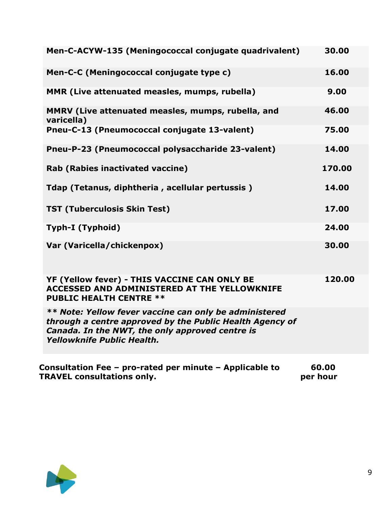| Men-C-ACYW-135 (Meningococcal conjugate quadrivalent)                                                                                                                                               | 30.00  |
|-----------------------------------------------------------------------------------------------------------------------------------------------------------------------------------------------------|--------|
| Men-C-C (Meningococcal conjugate type c)                                                                                                                                                            | 16.00  |
| MMR (Live attenuated measles, mumps, rubella)                                                                                                                                                       | 9.00   |
| MMRV (Live attenuated measles, mumps, rubella, and<br>varicella)                                                                                                                                    | 46.00  |
| Pneu-C-13 (Pneumococcal conjugate 13-valent)                                                                                                                                                        | 75.00  |
| Pneu-P-23 (Pneumococcal polysaccharide 23-valent)                                                                                                                                                   | 14.00  |
| Rab (Rabies inactivated vaccine)                                                                                                                                                                    | 170.00 |
| Tdap (Tetanus, diphtheria, acellular pertussis)                                                                                                                                                     | 14.00  |
| <b>TST (Tuberculosis Skin Test)</b>                                                                                                                                                                 | 17.00  |
| Typh-I (Typhoid)                                                                                                                                                                                    | 24.00  |
| Var (Varicella/chickenpox)                                                                                                                                                                          | 30.00  |
| YF (Yellow fever) - THIS VACCINE CAN ONLY BE<br><b>ACCESSED AND ADMINISTERED AT THE YELLOWKNIFE</b><br><b>PUBLIC HEALTH CENTRE **</b>                                                               | 120.00 |
| ** Note: Yellow fever vaccine can only be administered<br>through a centre approved by the Public Health Agency of<br>Canada. In the NWT, the only approved centre is<br>Yellowknife Public Health. |        |
|                                                                                                                                                                                                     |        |

**Consultation Fee – pro-rated per minute – Applicable to 60.00 TRAVEL consultations only. per hour**

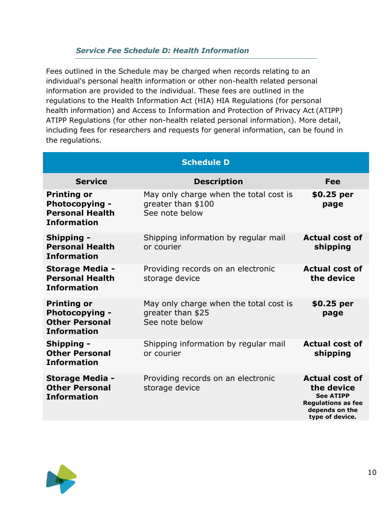#### *Service Fee Schedule D: Health Information*

Fees outlined in the Schedule may be charged when records relating to an individual's personal health information or other non-health related personal information are provided to the individual. These fees are outlined in the regulations to the Health Information Act (HIA) HIA Regulations (for personal health information) and Access to Information and Protection of Privacy Act (ATIPP) ATIPP Regulations (for other non-health related personal information). More detail, including fees for researchers and requests for general information, can be found in the regulations.

| <b>Schedule D</b>                                                                           |                                                                                |                                                                                                                           |
|---------------------------------------------------------------------------------------------|--------------------------------------------------------------------------------|---------------------------------------------------------------------------------------------------------------------------|
| <b>Service</b>                                                                              | <b>Description</b>                                                             | Fee                                                                                                                       |
| <b>Printing or</b><br><b>Photocopying -</b><br><b>Personal Health</b><br><b>Information</b> | May only charge when the total cost is<br>greater than \$100<br>See note below | \$0.25 per<br>page                                                                                                        |
| <b>Shipping -</b><br><b>Personal Health</b><br><b>Information</b>                           | Shipping information by regular mail<br>or courier                             | <b>Actual cost of</b><br>shipping                                                                                         |
| <b>Storage Media -</b><br><b>Personal Health</b><br><b>Information</b>                      | Providing records on an electronic<br>storage device                           | <b>Actual cost of</b><br>the device                                                                                       |
| <b>Printing or</b><br><b>Photocopying -</b><br><b>Other Personal</b><br><b>Information</b>  | May only charge when the total cost is<br>greater than \$25<br>See note below  | \$0.25 per<br>page                                                                                                        |
| <b>Shipping -</b><br><b>Other Personal</b><br><b>Information</b>                            | Shipping information by regular mail<br>or courier                             | <b>Actual cost of</b><br>shipping                                                                                         |
| <b>Storage Media -</b><br><b>Other Personal</b><br><b>Information</b>                       | Providing records on an electronic<br>storage device                           | <b>Actual cost of</b><br>the device<br><b>See ATIPP</b><br><b>Regulations as fee</b><br>depends on the<br>type of device. |